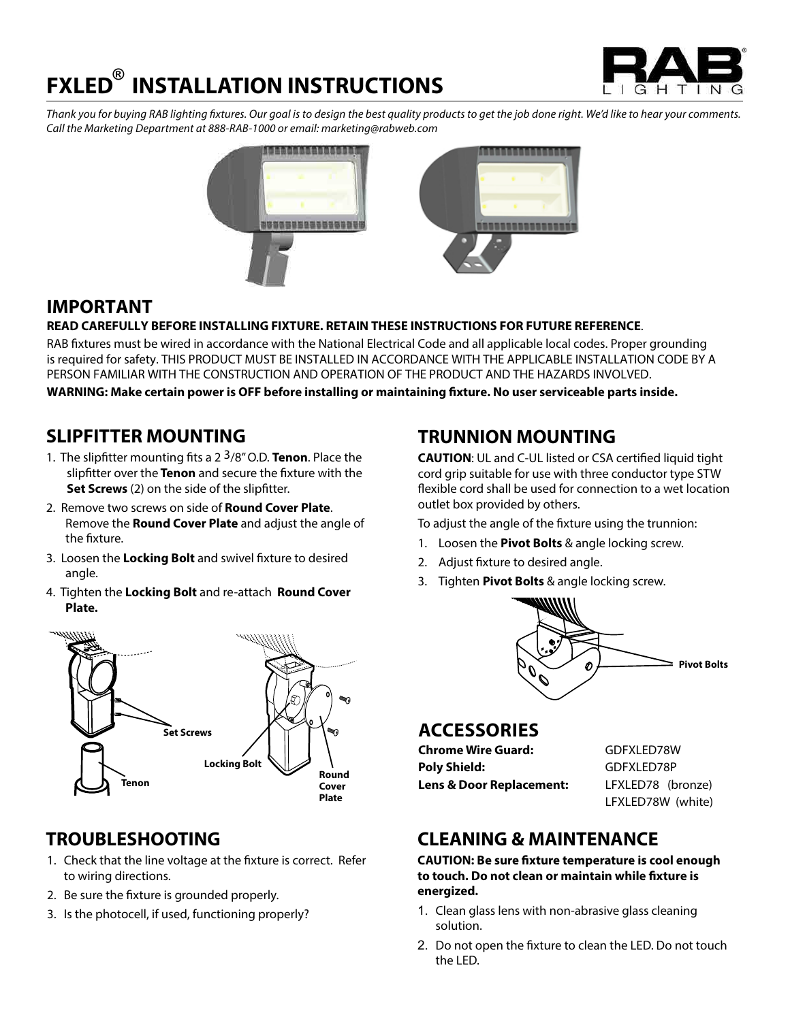# G H T  $\mathbb{N}$

# **FXLED INSTALLATION INSTRUCTIONS ®**

*Thank you for buying RAB lighting fixtures. Our goal is to design the best quality products to get the job done right. We'd like to hear your comments. Call the Marketing Department at 888-RAB-1000 or email: marketing@rabweb.com*



# **IMPORTANT**

#### **READ CAREFULLY BEFORE INSTALLING FIXTURE. RETAIN THESE INSTRUCTIONS FOR FUTURE REFERENCE**.

RAB fixtures must be wired in accordance with the National Electrical Code and all applicable local codes. Proper grounding is required for safety. THIS PRODUCT MUST BE INSTALLED IN ACCORDANCE WITH THE APPLICABLE INSTALLATION CODE BY A PERSON FAMILIAR WITH THE CONSTRUCTION AND OPERATION OF THE PRODUCT AND THE HAZARDS INVOLVED.

**WARNING: Make certain power is OFF before installing or maintaining fixture. No user serviceable parts inside.**

### **SLIPFITTER MOUNTING**

- 1. The slipfitter mounting fits a 2 3/8" O.D. **Tenon**. Place the slipfitter over the **Tenon** and secure the fixture with the **Set Screws** (2) on the side of the slipfitter.
- 2. Remove two screws on side of **Round Cover Plate**. Remove the **Round Cover Plate** and adjust the angle of the fixture.
- 3. Loosen the **Locking Bolt** and swivel fixture to desired angle.
- 4. Tighten the **Locking Bolt** and re-attach **Round Cover Plate.**



# **TROUBLESHOOTING**

- 1. Check that the line voltage at the fixture is correct. Refer to wiring directions.
- 2. Be sure the fixture is grounded properly.
- 3. Is the photocell, if used, functioning properly?

# **TRUNNION MOUNTING**

**CAUTION**: UL and C-UL listed or CSA certified liquid tight cord grip suitable for use with three conductor type STW flexible cord shall be used for connection to a wet location outlet box provided by others.

To adjust the angle of the fixture using the trunnion:

- 1. Loosen the **Pivot Bolts** & angle locking screw.
- 2. Adjust fixture to desired angle.
- 3. Tighten **Pivot Bolts** & angle locking screw.



### **ACCESSORIES**

| Chrome Wire Guard:                  | GDFXLED78W        |
|-------------------------------------|-------------------|
| Poly Shield:                        | GDFXLED78P        |
| <b>Lens &amp; Door Replacement:</b> | LFXLED78 (bronze) |
|                                     | LFXLED78W (white) |

# **CLEANING & MAINTENANCE**

**CAUTION: Be sure fixture temperature is cool enough to touch. Do not clean or maintain while fixture is energized.**

- 1. Clean glass lens with non-abrasive glass cleaning solution.
- 2. Do not open the fixture to clean the LED. Do not touch the LED.